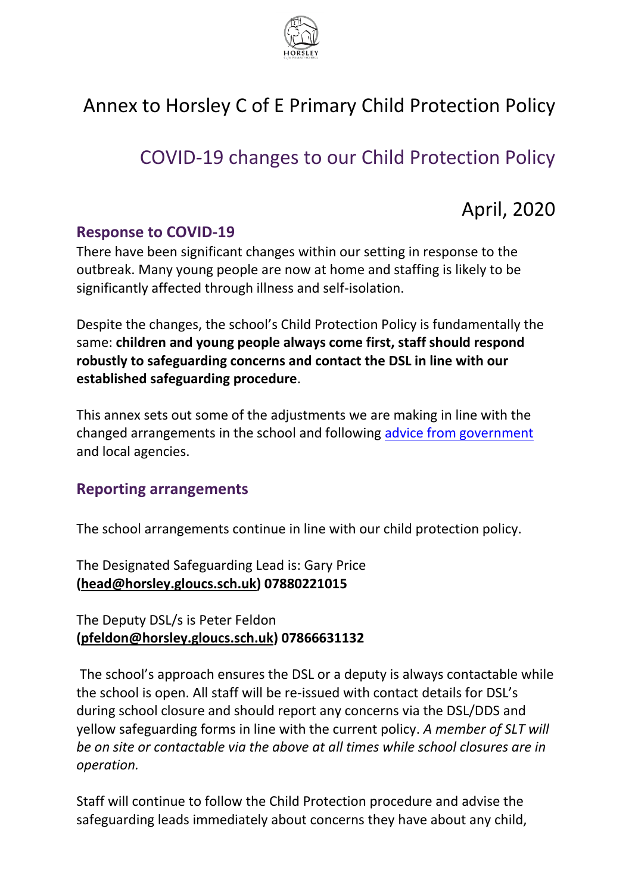

# Annex to Horsley C of E Primary Child Protection Policy

# COVID-19 changes to our Child Protection Policy

## April, 2020

#### **Response to COVID-19**

There have been significant changes within our setting in response to the outbreak. Many young people are now at home and staffing is likely to be significantly affected through illness and self-isolation.

Despite the changes, the school's Child Protection Policy is fundamentally the same: **children and young people always come first, staff should respond robustly to safeguarding concerns and contact the DSL in line with our established safeguarding procedure**.

This annex sets out some of the adjustments we are making in line with the changed arrangements in the school and following [advice from government](https://www.gov.uk/government/publications/covid-19-safeguarding-in-schools-colleges-and-other-providers/coronavirus-covid-19-safeguarding-in-schools-colleges-and-other-providers) and local agencies.

#### **Reporting arrangements**

The school arrangements continue in line with our child protection policy.

The Designated Safeguarding Lead is: Gary Price **[\(head@horsley.gloucs.sch.uk\)](mailto:head@horsley.gloucs.sch.uk) 07880221015**

The Deputy DSL/s is Peter Feldon **[\(pfeldon@horsley.gloucs.sch.uk\)](mailto:pfeldon@horsley.gloucs.sch.uk) 07866631132**

The school's approach ensures the DSL or a deputy is always contactable while the school is open. All staff will be re-issued with contact details for DSL's during school closure and should report any concerns via the DSL/DDS and yellow safeguarding forms in line with the current policy. *A member of SLT will be on site or contactable via the above at all times while school closures are in operation.* 

Staff will continue to follow the Child Protection procedure and advise the safeguarding leads immediately about concerns they have about any child,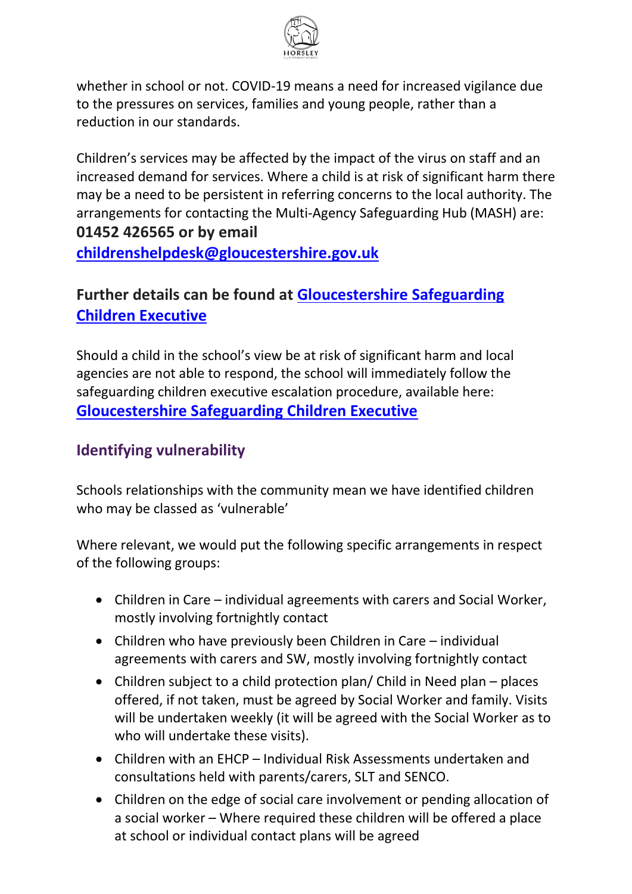

whether in school or not. COVID-19 means a need for increased vigilance due to the pressures on services, families and young people, rather than a reduction in our standards.

Children's services may be affected by the impact of the virus on staff and an increased demand for services. Where a child is at risk of significant harm there may be a need to be persistent in referring concerns to the local authority. The arrangements for contacting the Multi-Agency Safeguarding Hub (MASH) are: **01452 426565 or by email** 

**[childrenshelpdesk@gloucestershire.gov.uk](mailto:childrenshelpdesk@gloucestershire.gov.uk)**

### **Further details can be found at [Gloucestershire Safeguarding](https://www.gscb.org.uk/i-work-with-children-young-people-and-parents/guidance-for-working-with-children-and-young-people/)  [Children Executive](https://www.gscb.org.uk/i-work-with-children-young-people-and-parents/guidance-for-working-with-children-and-young-people/)**

Should a child in the school's view be at risk of significant harm and local agencies are not able to respond, the school will immediately follow the safeguarding children executive escalation procedure, available here: **[Gloucestershire Safeguarding Children Executive](https://www.gscb.org.uk/i-work-with-children-young-people-and-parents/guidance-for-working-with-children-and-young-people/)**

### **Identifying vulnerability**

Schools relationships with the community mean we have identified children who may be classed as 'vulnerable'

Where relevant, we would put the following specific arrangements in respect of the following groups:

- Children in Care individual agreements with carers and Social Worker, mostly involving fortnightly contact
- Children who have previously been Children in Care individual agreements with carers and SW, mostly involving fortnightly contact
- Children subject to a child protection plan/ Child in Need plan places offered, if not taken, must be agreed by Social Worker and family. Visits will be undertaken weekly (it will be agreed with the Social Worker as to who will undertake these visits).
- Children with an EHCP Individual Risk Assessments undertaken and consultations held with parents/carers, SLT and SENCO.
- Children on the edge of social care involvement or pending allocation of a social worker – Where required these children will be offered a place at school or individual contact plans will be agreed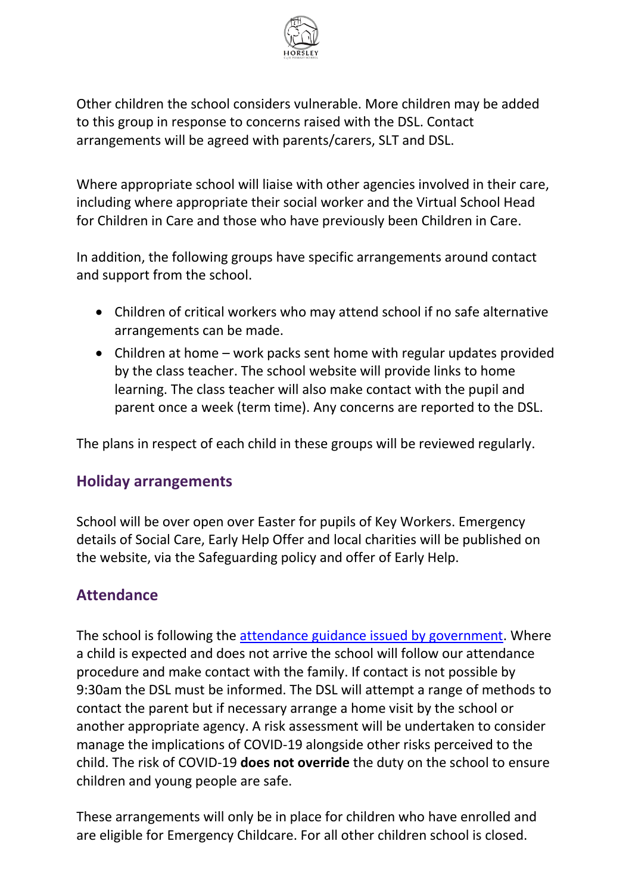

Other children the school considers vulnerable. More children may be added to this group in response to concerns raised with the DSL. Contact arrangements will be agreed with parents/carers, SLT and DSL.

Where appropriate school will liaise with other agencies involved in their care, including where appropriate their social worker and the Virtual School Head for Children in Care and those who have previously been Children in Care.

In addition, the following groups have specific arrangements around contact and support from the school.

- Children of critical workers who may attend school if no safe alternative arrangements can be made.
- Children at home work packs sent home with regular updates provided by the class teacher. The school website will provide links to home learning. The class teacher will also make contact with the pupil and parent once a week (term time). Any concerns are reported to the DSL.

The plans in respect of each child in these groups will be reviewed regularly.

#### **Holiday arrangements**

School will be over open over Easter for pupils of Key Workers. Emergency details of Social Care, Early Help Offer and local charities will be published on the website, via the Safeguarding policy and offer of Early Help.

#### **Attendance**

The school is following the [attendance guidance issued by government.](https://www.gov.uk/government/publications/coronavirus-covid-19-attendance-recording-for-educational-settings) Where a child is expected and does not arrive the school will follow our attendance procedure and make contact with the family. If contact is not possible by 9:30am the DSL must be informed. The DSL will attempt a range of methods to contact the parent but if necessary arrange a home visit by the school or another appropriate agency. A risk assessment will be undertaken to consider manage the implications of COVID-19 alongside other risks perceived to the child. The risk of COVID-19 **does not override** the duty on the school to ensure children and young people are safe.

These arrangements will only be in place for children who have enrolled and are eligible for Emergency Childcare. For all other children school is closed.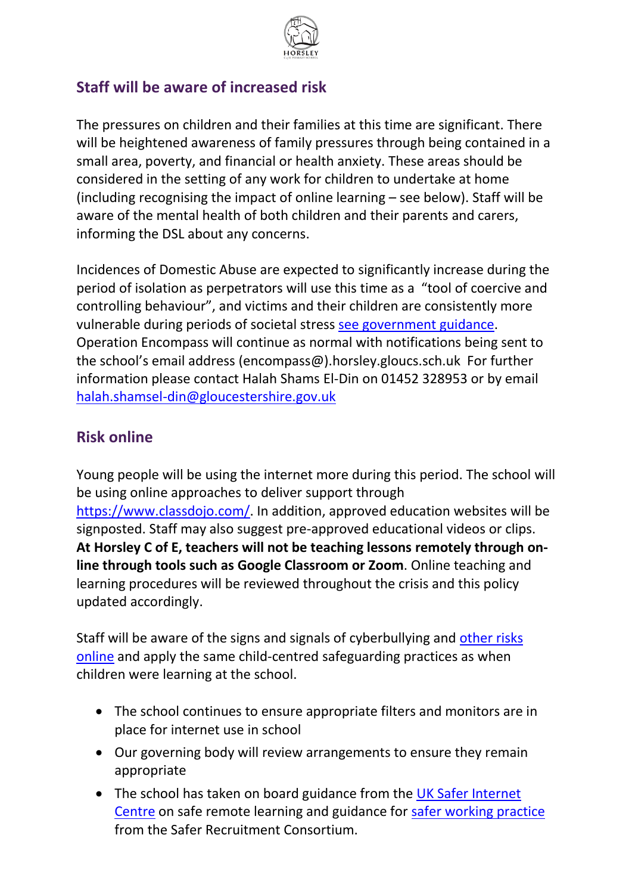

#### **Staff will be aware of increased risk**

The pressures on children and their families at this time are significant. There will be heightened awareness of family pressures through being contained in a small area, poverty, and financial or health anxiety. These areas should be considered in the setting of any work for children to undertake at home (including recognising the impact of online learning – see below). Staff will be aware of the mental health of both children and their parents and carers, informing the DSL about any concerns.

Incidences of Domestic Abuse are expected to significantly increase during the period of isolation as perpetrators will use this time as a "tool of coercive and controlling behaviour", and victims and their children are consistently more vulnerable during periods of societal stress [see government guidance.](https://www.gov.uk/guidance/domestic-abuse-how-to-get-help?utm_source=9edb434c-8bd7-4ca1-b369-97fee02097fe&utm_medium=email&utm_campaign=govuk-notifications&utm_content=immediate) Operation Encompass will continue as normal with notifications being sent to the school's email address (encompass@).horsley.gloucs.sch.uk For further information please contact Halah Shams El-Din on 01452 328953 or by email [halah.shamsel-din@gloucestershire.gov.uk](mailto:halah.shamsel-din@gloucestershire.gov.uk)

#### **Risk online**

Young people will be using the internet more during this period. The school will be using online approaches to deliver support through [https://www.classdojo.com/.](https://www.classdojo.com/) In addition, approved education websites will be signposted. Staff may also suggest pre-approved educational videos or clips. **At Horsley C of E, teachers will not be teaching lessons remotely through online through tools such as Google Classroom or Zoom**. Online teaching and learning procedures will be reviewed throughout the crisis and this policy updated accordingly.

Staff will be aware of the signs and signals of cyberbullying and [other risks](https://www.nspcc.org.uk/keeping-children-safe/online-safety/)  [online](https://www.nspcc.org.uk/keeping-children-safe/online-safety/) and apply the same child-centred safeguarding practices as when children were learning at the school.

- The school continues to ensure appropriate filters and monitors are in place for internet use in school
- Our governing body will review arrangements to ensure they remain appropriate
- The school has taken on board guidance from the UK Safer Internet [Centre](https://www.saferinternet.org.uk/) on safe remote learning and guidance for [safer working practice](https://www.saferrecruitmentconsortium.org/GSWP%20Sept%202019.pdf) from the Safer Recruitment Consortium.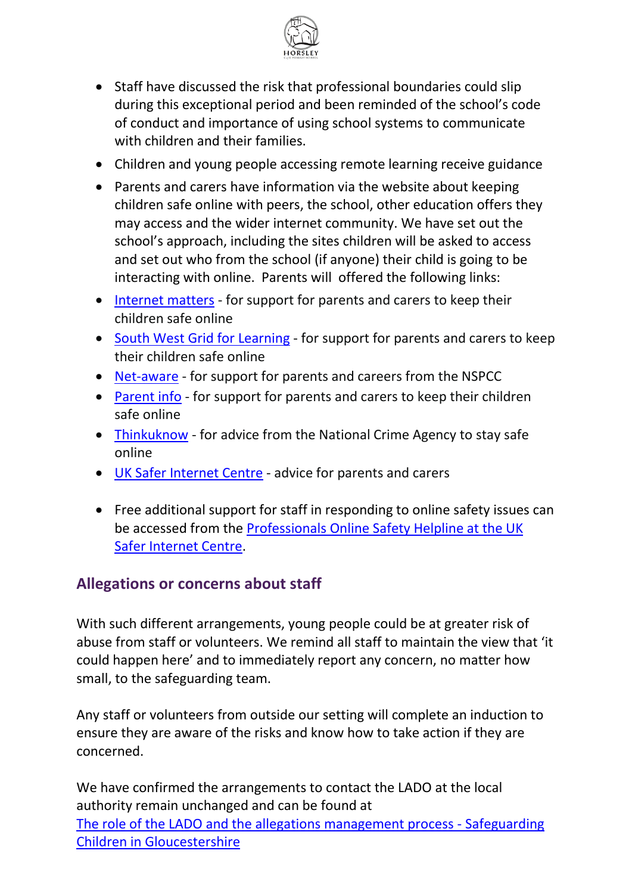

- Staff have discussed the risk that professional boundaries could slip during this exceptional period and been reminded of the school's code of conduct and importance of using school systems to communicate with children and their families.
- Children and young people accessing remote learning receive guidance
- Parents and carers have information via the website about keeping children safe online with peers, the school, other education offers they may access and the wider internet community. We have set out the school's approach, including the sites children will be asked to access and set out who from the school (if anyone) their child is going to be interacting with online. Parents will offered the following links:
- [Internet matters](https://www.internetmatters.org/?gclid=EAIaIQobChMIktuA5LWK2wIVRYXVCh2afg2aEAAYASAAEgIJ5vD_BwE) for support for parents and carers to keep their children safe online
- [South West Grid for Learning](https://swgfl.org.uk/) for support for parents and carers to keep their children safe online
- [Net-aware](https://www.net-aware.org.uk/) for support for parents and careers from the NSPCC
- [Parent info](https://parentinfo.org/favicon.ico) for support for parents and carers to keep their children safe online
- [Thinkuknow](https://www.thinkuknow.co.uk/) for advice from the National Crime Agency to stay safe online
- [UK Safer Internet Centre](https://www.saferinternet.org.uk/) advice for parents and carers
- Free additional support for staff in responding to online safety issues can be accessed from the [Professionals Online Safety Helpline at the UK](https://www.saferinternet.org.uk/helpline/professionals-online-safety-helpline)  [Safer Internet Centre.](https://www.saferinternet.org.uk/helpline/professionals-online-safety-helpline)

#### **Allegations or concerns about staff**

With such different arrangements, young people could be at greater risk of abuse from staff or volunteers. We remind all staff to maintain the view that 'it could happen here' and to immediately report any concern, no matter how small, to the safeguarding team.

Any staff or volunteers from outside our setting will complete an induction to ensure they are aware of the risks and know how to take action if they are concerned.

We have confirmed the arrangements to contact the LADO at the local authority remain unchanged and can be found at [The role of the LADO and the allegations management process -](https://www.gscb.org.uk/i-work-with-children-young-people-and-parents/the-role-of-the-lado-and-the-allegations-management-process/) Safeguarding [Children in Gloucestershire](https://www.gscb.org.uk/i-work-with-children-young-people-and-parents/the-role-of-the-lado-and-the-allegations-management-process/)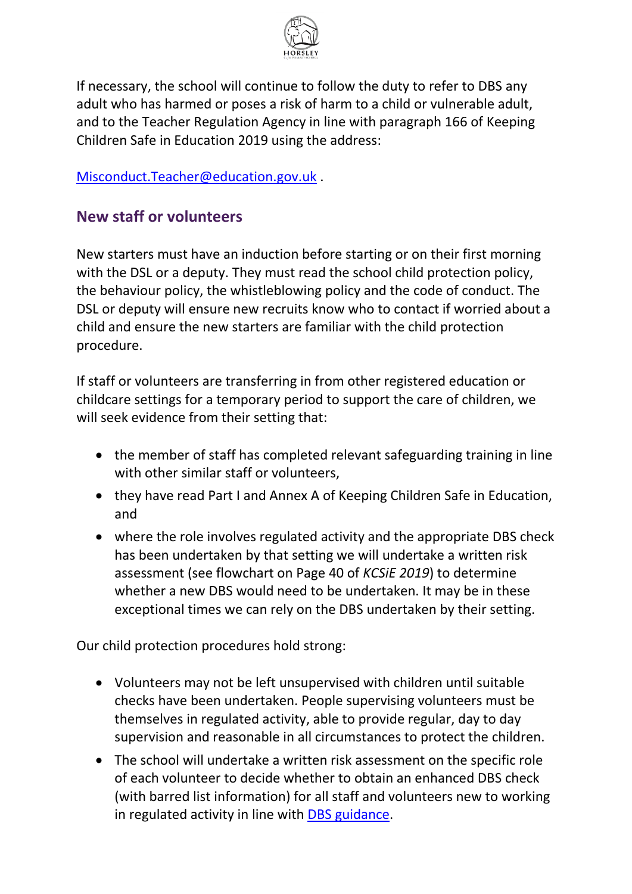

If necessary, the school will continue to follow the duty to refer to DBS any adult who has harmed or poses a risk of harm to a child or vulnerable adult, and to the Teacher Regulation Agency in line with paragraph 166 of Keeping Children Safe in Education 2019 using the address:

[Misconduct.Teacher@education.gov.uk](mailto:Misconduct.Teacher@education.gov.uk) .

#### **New staff or volunteers**

New starters must have an induction before starting or on their first morning with the DSL or a deputy. They must read the school child protection policy, the behaviour policy, the whistleblowing policy and the code of conduct. The DSL or deputy will ensure new recruits know who to contact if worried about a child and ensure the new starters are familiar with the child protection procedure.

If staff or volunteers are transferring in from other registered education or childcare settings for a temporary period to support the care of children, we will seek evidence from their setting that:

- the member of staff has completed relevant safeguarding training in line with other similar staff or volunteers,
- they have read Part I and Annex A of Keeping Children Safe in Education, and
- where the role involves regulated activity and the appropriate DBS check has been undertaken by that setting we will undertake a written risk assessment (see flowchart on Page 40 of *KCSiE 2019*) to determine whether a new DBS would need to be undertaken. It may be in these exceptional times we can rely on the DBS undertaken by their setting.

Our child protection procedures hold strong:

- Volunteers may not be left unsupervised with children until suitable checks have been undertaken. People supervising volunteers must be themselves in regulated activity, able to provide regular, day to day supervision and reasonable in all circumstances to protect the children.
- The school will undertake a written risk assessment on the specific role of each volunteer to decide whether to obtain an enhanced DBS check (with barred list information) for all staff and volunteers new to working in regulated activity in line with [DBS guidance.](https://www.gov.uk/government/collections/dbs-eligibility-guidance)